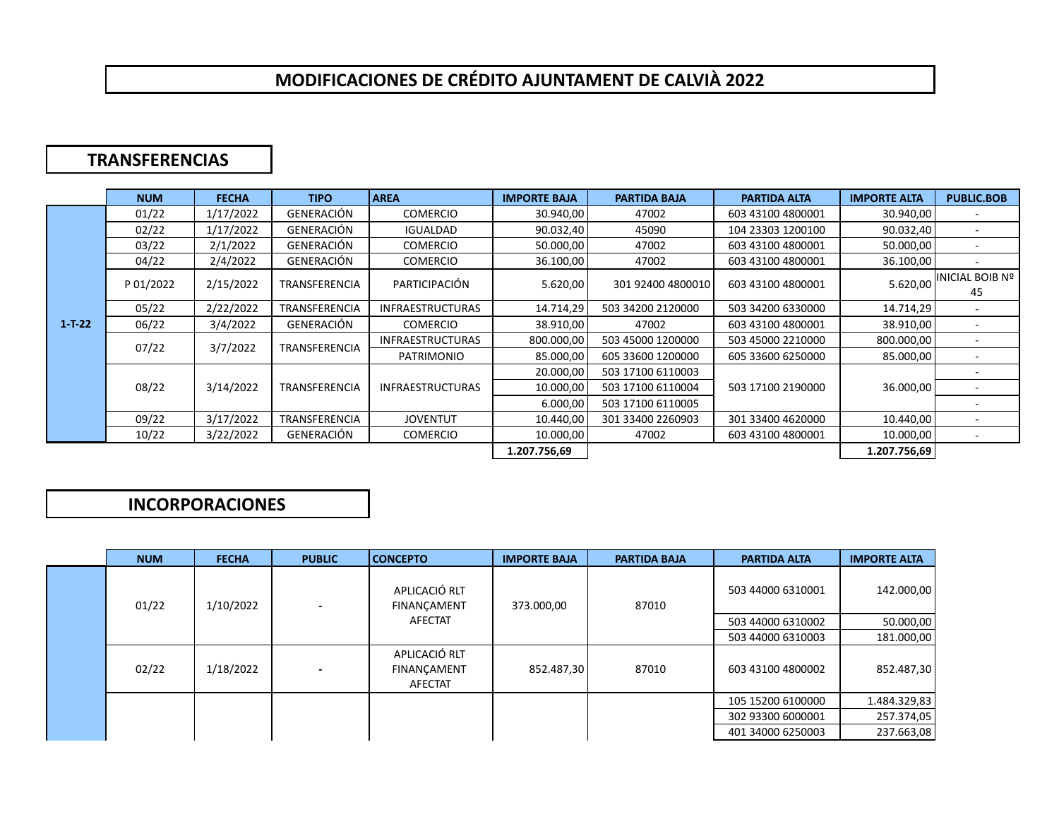## **MODIFICACIONES DE CRÉDITO AJUNTAMENT DE CALVIÀ 2022**

## **TRANSFERENCIAS**

|              | <b>NUM</b> | <b>FECHA</b> | <b>TIPO</b>          | <b>AREA</b>             | <b>IMPORTE BAJA</b> | <b>PARTIDA BAJA</b> | <b>PARTIDA ALTA</b> | <b>IMPORTE ALTA</b> | <b>PUBLIC.BOB</b>     |
|--------------|------------|--------------|----------------------|-------------------------|---------------------|---------------------|---------------------|---------------------|-----------------------|
| $1 - T - 22$ | 01/22      | 1/17/2022    | <b>GENERACIÓN</b>    | <b>COMERCIO</b>         | 30.940,00           | 47002               | 603 43100 4800001   | 30.940,00           |                       |
|              | 02/22      | 1/17/2022    | GENERACIÓN           | <b>IGUALDAD</b>         | 90.032,40           | 45090               | 104 23303 1200100   | 90.032,40           |                       |
|              | 03/22      | 2/1/2022     | GENERACIÓN           | <b>COMERCIO</b>         | 50.000,00           | 47002               | 603 43100 4800001   | 50.000,00           |                       |
|              | 04/22      | 2/4/2022     | GENERACIÓN           | <b>COMERCIO</b>         | 36.100,00           | 47002               | 603 43100 4800001   | 36.100,00           |                       |
|              | P 01/2022  | 2/15/2022    | <b>TRANSFERENCIA</b> | PARTICIPACIÓN           | 5.620,00            | 301 92400 4800010   | 603 43100 4800001   | 5.620,00            | INICIAL BOIB Nº<br>45 |
|              | 05/22      | 2/22/2022    | <b>TRANSFERENCIA</b> | <b>INFRAESTRUCTURAS</b> | 14.714,29           | 503 34200 2120000   | 503 34200 6330000   | 14.714,29           |                       |
|              | 06/22      | 3/4/2022     | GENERACIÓN           | <b>COMERCIO</b>         | 38.910,00           | 47002               | 603 43100 4800001   | 38.910,00           |                       |
|              | 07/22      | 3/7/2022     | <b>TRANSFERENCIA</b> | <b>INFRAESTRUCTURAS</b> | 800.000,00          | 503 45000 1200000   | 503 45000 2210000   | 800.000,00          |                       |
|              |            |              |                      | PATRIMONIO              | 85.000,00           | 605 33600 1200000   | 605 33600 6250000   | 85.000,00           |                       |
|              | 08/22      | 3/14/2022    | <b>TRANSFERENCIA</b> | <b>INFRAESTRUCTURAS</b> | 20.000,00           | 503 17100 6110003   |                     | 36.000,00           |                       |
|              |            |              |                      |                         | 10.000,00           | 503 17100 6110004   | 503 17100 2190000   |                     |                       |
|              |            |              |                      |                         | 6.000,00            | 503 17100 6110005   |                     |                     |                       |
|              | 09/22      | 3/17/2022    | <b>TRANSFERENCIA</b> | <b>JOVENTUT</b>         | 10.440,00           | 301 33400 2260903   | 301 33400 4620000   | 10.440,00           |                       |
|              | 10/22      | 3/22/2022    | GENERACIÓN           | <b>COMERCIO</b>         | 10.000,00           | 47002               | 603 43100 4800001   | 10.000,00           |                       |
|              |            |              |                      |                         | 1.207.756,69        |                     |                     | 1.207.756,69        |                       |
|              |            |              |                      |                         |                     |                     |                     |                     |                       |

## **INCORPORACIONES**

|  | <b>NUM</b> | <b>FECHA</b> | <b>PUBLIC</b>            | <b>CONCEPTO</b>                                | <b>IMPORTE BAJA</b> | <b>PARTIDA BAJA</b> | <b>PARTIDA ALTA</b> | <b>IMPORTE ALTA</b> |
|--|------------|--------------|--------------------------|------------------------------------------------|---------------------|---------------------|---------------------|---------------------|
|  | 01/22      | 1/10/2022    | $\overline{\phantom{0}}$ | APLICACIÓ RLT<br><b>FINANCAMENT</b><br>AFECTAT | 373.000,00          | 87010               | 503 44000 6310001   | 142.000,00          |
|  |            |              |                          |                                                |                     |                     | 503 44000 6310002   | 50.000,00           |
|  |            |              |                          |                                                |                     |                     | 503 44000 6310003   | 181.000,00          |
|  | 02/22      | 1/18/2022    | $\overline{\phantom{0}}$ | APLICACIÓ RLT<br><b>FINANÇAMENT</b><br>AFECTAT | 852.487,30          | 87010               | 603 43100 4800002   | 852.487,30          |
|  |            |              |                          |                                                |                     |                     | 105 15200 6100000   | 1.484.329,83        |
|  |            |              |                          |                                                |                     |                     | 302 93300 6000001   | 257.374,05          |
|  |            |              |                          |                                                |                     |                     | 401 34000 6250003   | 237.663,08          |